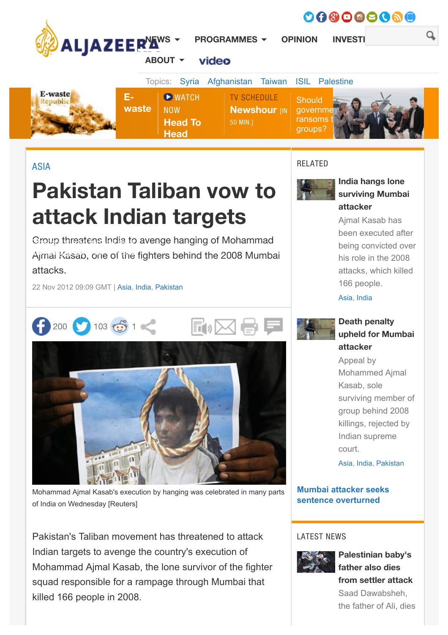

[ASIA](http://www.aljazeera.com/topics/regions/asia.html)

# Pakistan Taliban vow to attack Indian targets

Group threatens India to avenge hanging of Mohammad Ajmal Kasab, one of the fighters behind the 2008 Mumbai attacks.

22 Nov 2012 09:09 GMT | [Asia](http://www.aljazeera.com/topics/regions/asia.html), [India,](http://www.aljazeera.com/topics/country/india.html) [Pakistan](http://www.aljazeera.com/topics/country/pakistan.html)



Mohammad Ajmal Kasab's execution by hanging was celebrated in many parts of India on Wednesday [Reuters]

Pakistan's Taliban movement has threatened to attack Indian targets to avenge the country's execution of Mohammad Ajmal Kasab, the lone survivor of the fighter squad responsible for a rampage through Mumbai that killed 166 people in 2008.

## RELATED



# India hangs lone [surviving Mumbai](http://www.aljazeera.com/news/asia/2012/11/201211213032130436.html) attacker

Ajmal Kasab has been executed after being convicted over his role in the 2008 attacks, which killed 166 people.

[Asia,](http://www.aljazeera.com/topics/regions/asia.html) [India](http://www.aljazeera.com/topics/country/india.html)



# Death penalty [upheld for Mumbai](http://www.aljazeera.com/news/asia/2012/08/2012829689956360.html) attacker

Appeal by Mohammed Ajmal Kasab, sole surviving member of group behind 2008 killings, rejected by Indian supreme court.

[Asia,](http://www.aljazeera.com/topics/regions/asia.html) [India,](http://www.aljazeera.com/topics/country/india.html) [Pakistan](http://www.aljazeera.com/topics/country/pakistan.html)

#### **[Mumbai attacker seeks](http://www.aljazeera.com/news/asia/2011/07/201172955319221309.html) sentence overturned**

## **LATEST NEWS**



Palestinian baby's father also dies [from settler attack](http://www.aljazeera.com/news/2015/08/palestinian-baby-dad-dies-settler-arson-west-bank-israel-attack-150808033822605.html) Saad Dawabsheh, the father of Ali, dies